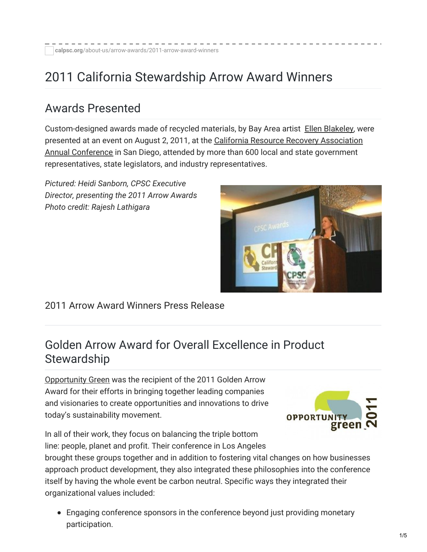# 2011 California Stewardship Arrow Award Winners

### Awards Presented

Custom-designed awards made of recycled materials, by Bay Area artist Ellen [Blakeley](http://www.ellenblakeley.com/), were presented at an event on August 2, 2011, at the California Resource Recovery Association Annual Conference in San Diego, attended by more than 600 local and state [government](http://www.crra.com/index.php?option=com_content&view=article&id=46&Itemid=53) representatives, state legislators, and industry representatives.

*Pictured: Heidi Sanborn, CPSC Executive Director, presenting the 2011 Arrow Awards Photo credit: Rajesh Lathigara*



#### 2011 Arrow Award [Winners](https://calpsc.org/mobius/cpsc-content/uploads/2016/05/2011_08-Arrow-Awards-Winners_Approved-Final.pdf) Press Release

### Golden Arrow Award for Overall Excellence in Product **Stewardship**

[Opportunity](http://opportunitygreen.com/) Green was the recipient of the 2011 Golden Arrow Award for their efforts in bringing together leading companies and visionaries to create opportunities and innovations to drive today's sustainability movement.



In all of their work, they focus on balancing the triple bottom line: people, planet and profit. Their conference in Los Angeles

brought these groups together and in addition to fostering vital changes on how businesses approach product development, they also integrated these philosophies into the conference itself by having the whole event be carbon neutral. Specific ways they integrated their organizational values included:

Engaging conference sponsors in the conference beyond just providing monetary participation.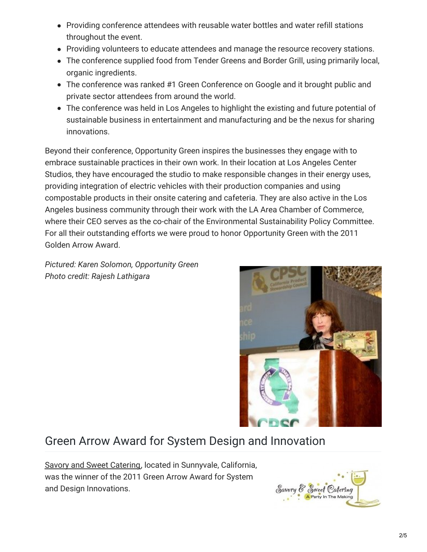- Providing conference attendees with reusable water bottles and water refill stations throughout the event.
- Providing volunteers to educate attendees and manage the resource recovery stations.
- The conference supplied food from Tender Greens and Border Grill, using primarily local, organic ingredients.
- The conference was ranked #1 Green Conference on Google and it brought public and private sector attendees from around the world.
- The conference was held in Los Angeles to highlight the existing and future potential of sustainable business in entertainment and manufacturing and be the nexus for sharing innovations.

Beyond their conference, Opportunity Green inspires the businesses they engage with to embrace sustainable practices in their own work. In their location at Los Angeles Center Studios, they have encouraged the studio to make responsible changes in their energy uses, providing integration of electric vehicles with their production companies and using compostable products in their onsite catering and cafeteria. They are also active in the Los Angeles business community through their work with the LA Area Chamber of Commerce, where their CEO serves as the co-chair of the Environmental Sustainability Policy Committee. For all their outstanding efforts we were proud to honor Opportunity Green with the 2011 Golden Arrow Award.

*Pictured: Karen Solomon, Opportunity Green Photo credit: Rajesh Lathigara*



# Green Arrow Award for System Design and Innovation

Savory and Sweet [Catering](http://www.savoryandsweet.com/), located in Sunnyvale, California, was the winner of the 2011 Green Arrow Award for System and Design Innovations.

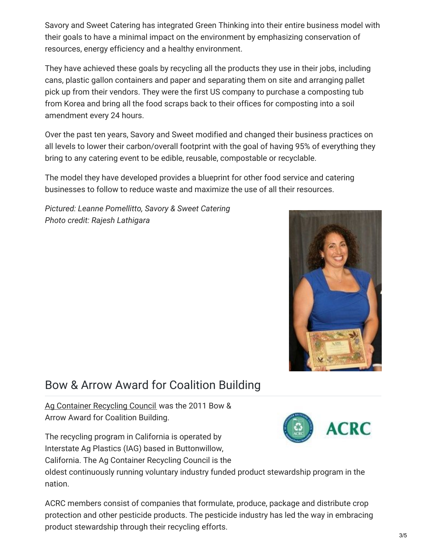Savory and Sweet Catering has integrated Green Thinking into their entire business model with their goals to have a minimal impact on the environment by emphasizing conservation of resources, energy efficiency and a healthy environment.

They have achieved these goals by recycling all the products they use in their jobs, including cans, plastic gallon containers and paper and separating them on site and arranging pallet pick up from their vendors. They were the first US company to purchase a composting tub from Korea and bring all the food scraps back to their offices for composting into a soil amendment every 24 hours.

Over the past ten years, Savory and Sweet modified and changed their business practices on all levels to lower their carbon/overall footprint with the goal of having 95% of everything they bring to any catering event to be edible, reusable, compostable or recyclable.

The model they have developed provides a blueprint for other food service and catering businesses to follow to reduce waste and maximize the use of all their resources.

*Pictured: Leanne Pomellitto, Savory & Sweet Catering Photo credit: Rajesh Lathigara*



## Bow & Arrow Award for Coalition Building

Ag [Container](http://www.acrecycle.org/) Recycling Council was the 2011 Bow & Arrow Award for Coalition Building.

The recycling program in California is operated by Interstate Ag Plastics (IAG) based in Buttonwillow,

California. The Ag Container Recycling Council is the

oldest continuously running voluntary industry funded product stewardship program in the nation.

ACRC members consist of companies that formulate, produce, package and distribute crop protection and other pesticide products. The pesticide industry has led the way in embracing product stewardship through their recycling efforts.

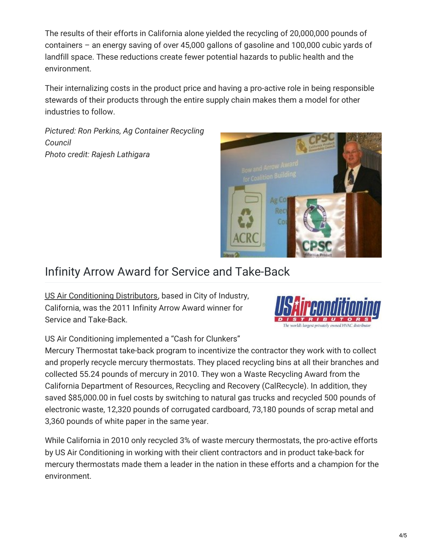The results of their efforts in California alone yielded the recycling of 20,000,000 pounds of containers – an energy saving of over 45,000 gallons of gasoline and 100,000 cubic yards of landfill space. These reductions create fewer potential hazards to public health and the environment.

Their internalizing costs in the product price and having a pro-active role in being responsible stewards of their products through the entire supply chain makes them a model for other industries to follow.

*Pictured: Ron Perkins, Ag Container Recycling Council Photo credit: Rajesh Lathigara*



## Infinity Arrow Award for Service and Take-Back

US Air [Conditioning](http://www.us-ac.com/) Distributors, based in City of Industry, California, was the 2011 Infinity Arrow Award winner for Service and Take-Back.



US Air Conditioning implemented a "Cash for Clunkers"

Mercury Thermostat take-back program to incentivize the contractor they work with to collect and properly recycle mercury thermostats. They placed recycling bins at all their branches and collected 55.24 pounds of mercury in 2010. They won a Waste Recycling Award from the California Department of Resources, Recycling and Recovery (CalRecycle). In addition, they saved \$85,000.00 in fuel costs by switching to natural gas trucks and recycled 500 pounds of electronic waste, 12,320 pounds of corrugated cardboard, 73,180 pounds of scrap metal and 3,360 pounds of white paper in the same year.

While California in 2010 only recycled 3% of waste mercury thermostats, the pro-active efforts by US Air Conditioning in working with their client contractors and in product take-back for mercury thermostats made them a leader in the nation in these efforts and a champion for the environment.